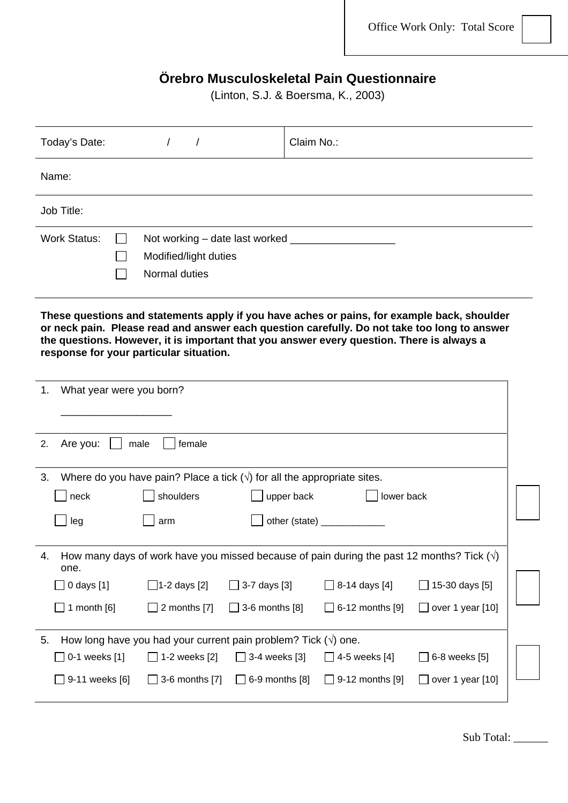## **Örebro Musculoskeletal Pain Questionnaire**

(Linton, S.J. & Boersma, K., 2003)

| Today's Date:                           |                                                                           |                              | Claim No.:                                                                                                                                                                                                                                                                               |                         |  |  |  |  |  |  |  |  |
|-----------------------------------------|---------------------------------------------------------------------------|------------------------------|------------------------------------------------------------------------------------------------------------------------------------------------------------------------------------------------------------------------------------------------------------------------------------------|-------------------------|--|--|--|--|--|--|--|--|
| Name:                                   |                                                                           |                              |                                                                                                                                                                                                                                                                                          |                         |  |  |  |  |  |  |  |  |
| Job Title:                              |                                                                           |                              |                                                                                                                                                                                                                                                                                          |                         |  |  |  |  |  |  |  |  |
| <b>Work Status:</b>                     |                                                                           |                              |                                                                                                                                                                                                                                                                                          |                         |  |  |  |  |  |  |  |  |
|                                         | Modified/light duties                                                     |                              |                                                                                                                                                                                                                                                                                          |                         |  |  |  |  |  |  |  |  |
|                                         | Normal duties                                                             |                              |                                                                                                                                                                                                                                                                                          |                         |  |  |  |  |  |  |  |  |
| response for your particular situation. |                                                                           |                              | These questions and statements apply if you have aches or pains, for example back, shoulder<br>or neck pain. Please read and answer each question carefully. Do not take too long to answer<br>the questions. However, it is important that you answer every question. There is always a |                         |  |  |  |  |  |  |  |  |
| What year were you born?<br>1.          |                                                                           |                              |                                                                                                                                                                                                                                                                                          |                         |  |  |  |  |  |  |  |  |
|                                         |                                                                           |                              |                                                                                                                                                                                                                                                                                          |                         |  |  |  |  |  |  |  |  |
| Are you:<br>2.                          | male<br>female                                                            |                              |                                                                                                                                                                                                                                                                                          |                         |  |  |  |  |  |  |  |  |
| 3.                                      | Where do you have pain? Place a tick $(v)$ for all the appropriate sites. |                              |                                                                                                                                                                                                                                                                                          |                         |  |  |  |  |  |  |  |  |
| neck                                    | shoulders                                                                 | upper back                   | lower back                                                                                                                                                                                                                                                                               |                         |  |  |  |  |  |  |  |  |
| leg                                     | arm                                                                       |                              | other (state) ____________                                                                                                                                                                                                                                                               |                         |  |  |  |  |  |  |  |  |
| 4.<br>one.                              |                                                                           |                              | How many days of work have you missed because of pain during the past 12 months? Tick ( $\sqrt{ }$ )                                                                                                                                                                                     |                         |  |  |  |  |  |  |  |  |
| $\Box$ 0 days [1]                       | $\Box$ 1-2 days [2]                                                       | 3-7 days [3]<br>$\mathbf{I}$ | $\Box$ 8-14 days [4]                                                                                                                                                                                                                                                                     | $\Box$ 15-30 days [5]   |  |  |  |  |  |  |  |  |
| 1 month $[6]$                           | 2 months [7]                                                              | 3-6 months [8]               | 6-12 months [9]                                                                                                                                                                                                                                                                          | $\Box$ over 1 year [10] |  |  |  |  |  |  |  |  |
| 5.                                      | How long have you had your current pain problem? Tick $(\sqrt{ } )$ one.  |                              |                                                                                                                                                                                                                                                                                          |                         |  |  |  |  |  |  |  |  |
| 0-1 weeks [1]                           | $\Box$ 1-2 weeks [2]                                                      | $\Box$ 3-4 weeks [3]         | 4-5 weeks [4]                                                                                                                                                                                                                                                                            | 6-8 weeks [5]           |  |  |  |  |  |  |  |  |
| 9-11 weeks [6]                          | 3-6 months [7]                                                            | $\Box$ 6-9 months [8]        | 9-12 months [9]                                                                                                                                                                                                                                                                          | $\Box$ over 1 year [10] |  |  |  |  |  |  |  |  |

Sub Total: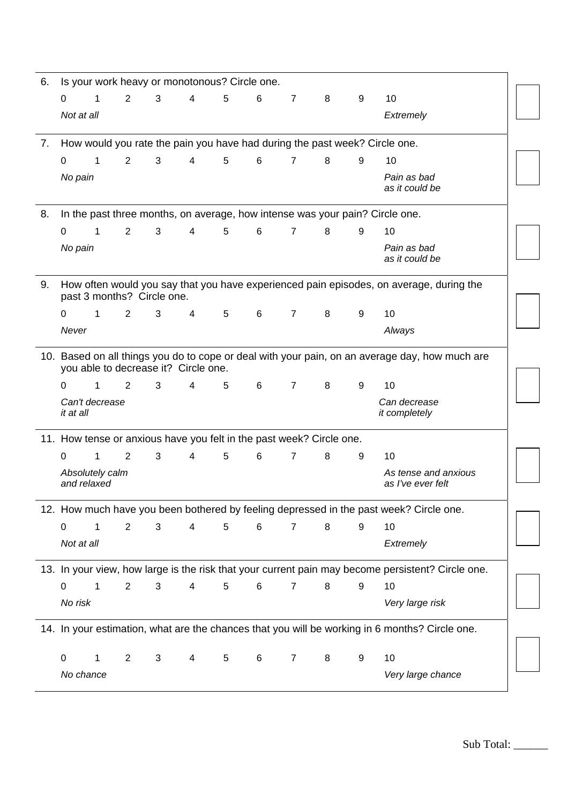| 6. |                                |   |                |                            |                                      | Is your work heavy or monotonous? Circle one.                        |   |                |   |   |                                                                                                   |
|----|--------------------------------|---|----------------|----------------------------|--------------------------------------|----------------------------------------------------------------------|---|----------------|---|---|---------------------------------------------------------------------------------------------------|
|    | $\Omega$                       | 1 | 2              | 3                          | $\overline{4}$                       | 5                                                                    | 6 | $\overline{7}$ | 8 | 9 | 10                                                                                                |
|    | Not at all                     |   |                |                            |                                      |                                                                      |   |                |   |   | Extremely                                                                                         |
| 7. |                                |   |                |                            |                                      |                                                                      |   |                |   |   | How would you rate the pain you have had during the past week? Circle one.                        |
|    | $\Omega$                       | 1 | 2              | 3                          | $\overline{4}$                       | 5                                                                    | 6 | $\overline{7}$ | 8 | 9 | 10                                                                                                |
|    | No pain                        |   |                |                            |                                      |                                                                      |   |                |   |   | Pain as bad<br>as it could be                                                                     |
| 8. |                                |   |                |                            |                                      |                                                                      |   |                |   |   | In the past three months, on average, how intense was your pain? Circle one.                      |
|    | $\Omega$                       | 1 | 2              | 3                          | 4                                    | 5                                                                    | 6 | $\overline{7}$ | 8 | 9 | 10                                                                                                |
|    | No pain                        |   |                |                            |                                      |                                                                      |   |                |   |   | Pain as bad<br>as it could be                                                                     |
| 9. |                                |   |                | past 3 months? Circle one. |                                      |                                                                      |   |                |   |   | How often would you say that you have experienced pain episodes, on average, during the           |
|    | $\Omega$                       | 1 | 2              | 3                          | 4                                    | 5                                                                    | 6 | $\overline{7}$ | 8 | 9 | 10                                                                                                |
|    | Never                          |   |                |                            |                                      |                                                                      |   |                |   |   | Always                                                                                            |
|    |                                |   |                |                            | you able to decrease it? Circle one. |                                                                      |   |                |   |   | 10. Based on all things you do to cope or deal with your pain, on an average day, how much are    |
|    | 0                              | 1 | 2              | 3                          | $\overline{4}$                       | 5                                                                    | 6 | $\overline{7}$ | 8 | 9 | 10                                                                                                |
|    | Can't decrease<br>it at all    |   |                |                            |                                      |                                                                      |   |                |   |   | Can decrease<br>it completely                                                                     |
|    |                                |   |                |                            |                                      | 11. How tense or anxious have you felt in the past week? Circle one. |   |                |   |   |                                                                                                   |
|    | $\Omega$                       | 1 | 2              | 3                          | 4                                    | 5                                                                    | 6 | $\overline{7}$ | 8 | 9 | 10                                                                                                |
|    | Absolutely calm<br>and relaxed |   |                |                            |                                      |                                                                      |   |                |   |   | As tense and anxious<br>as I've ever felt                                                         |
|    |                                |   |                |                            |                                      |                                                                      |   |                |   |   | 12. How much have you been bothered by feeling depressed in the past week? Circle one.            |
|    | $\mathbf 0$                    | 1 | $\overline{2}$ | 3                          | $\overline{\mathcal{A}}$             | $\,$ 5 $\,$                                                          | 6 | $\overline{7}$ | 8 | 9 | 10                                                                                                |
|    | Not at all                     |   |                |                            |                                      |                                                                      |   |                |   |   | Extremely                                                                                         |
|    |                                |   |                |                            |                                      |                                                                      |   |                |   |   | 13. In your view, how large is the risk that your current pain may become persistent? Circle one. |
|    | $\mathbf 0$                    | 1 | 2              | 3                          | 4                                    | 5                                                                    | 6 | 7              | 8 | 9 | 10                                                                                                |
|    | No risk                        |   |                |                            |                                      |                                                                      |   |                |   |   | Very large risk                                                                                   |
|    |                                |   |                |                            |                                      |                                                                      |   |                |   |   | 14. In your estimation, what are the chances that you will be working in 6 months? Circle one.    |
|    | $\mathbf 0$                    | 1 | $\overline{2}$ | 3                          | 4                                    | 5                                                                    | 6 | $\overline{7}$ | 8 | 9 | 10                                                                                                |
|    |                                |   |                |                            |                                      |                                                                      |   |                |   |   |                                                                                                   |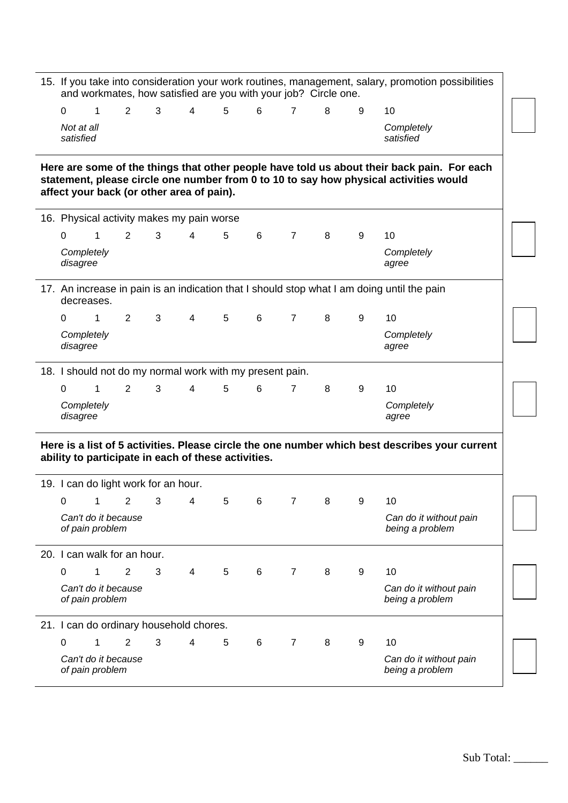|                         |                                        |                |                                      |                                                     |   | and workmates, how satisfied are you with your job? Circle one. |                |   |   | 15. If you take into consideration your work routines, management, salary, promotion possibilities                                                                                  |
|-------------------------|----------------------------------------|----------------|--------------------------------------|-----------------------------------------------------|---|-----------------------------------------------------------------|----------------|---|---|-------------------------------------------------------------------------------------------------------------------------------------------------------------------------------------|
| $\Omega$                | 1                                      | 2              | 3                                    | 4                                                   | 5 | 6                                                               | $\overline{7}$ | 8 | 9 | 10                                                                                                                                                                                  |
| Not at all<br>satisfied |                                        |                |                                      |                                                     |   |                                                                 |                |   |   | Completely<br>satisfied                                                                                                                                                             |
|                         |                                        |                |                                      | affect your back (or other area of pain).           |   |                                                                 |                |   |   | Here are some of the things that other people have told us about their back pain. For each<br>statement, please circle one number from 0 to 10 to say how physical activities would |
|                         |                                        |                |                                      | 16. Physical activity makes my pain worse           |   |                                                                 |                |   |   |                                                                                                                                                                                     |
| $\Omega$                | 1                                      | 2              | 3                                    | 4                                                   | 5 | 6                                                               | $\overline{7}$ | 8 | 9 | 10                                                                                                                                                                                  |
| disagree                | Completely                             |                |                                      |                                                     |   |                                                                 |                |   |   | Completely<br>agree                                                                                                                                                                 |
|                         | decreases.                             |                |                                      |                                                     |   |                                                                 |                |   |   | 17. An increase in pain is an indication that I should stop what I am doing until the pain                                                                                          |
| 0                       | 1                                      | $\overline{2}$ | 3                                    | $\overline{4}$                                      | 5 | 6                                                               | $\overline{7}$ | 8 | 9 | 10                                                                                                                                                                                  |
| disagree                | Completely                             |                |                                      |                                                     |   |                                                                 |                |   |   | Completely<br>agree                                                                                                                                                                 |
|                         |                                        |                |                                      |                                                     |   | 18. I should not do my normal work with my present pain.        |                |   |   |                                                                                                                                                                                     |
| $\Omega$                | 1                                      | 2              | 3                                    | 4                                                   | 5 | 6                                                               | $\overline{7}$ | 8 | 9 | 10                                                                                                                                                                                  |
| disagree                | Completely                             |                |                                      |                                                     |   |                                                                 |                |   |   | Completely<br>agree                                                                                                                                                                 |
|                         |                                        |                |                                      | ability to participate in each of these activities. |   |                                                                 |                |   |   | Here is a list of 5 activities. Please circle the one number which best describes your current                                                                                      |
|                         |                                        |                | 19. I can do light work for an hour. |                                                     |   |                                                                 |                |   |   |                                                                                                                                                                                     |
| 0                       | Can't do it because                    | 2              | 3                                    | 4                                                   | 5 | 6                                                               |                | 8 | 9 | 10                                                                                                                                                                                  |
|                         | of pain problem                        |                |                                      |                                                     |   |                                                                 |                |   |   | Can do it without pain<br>being a problem                                                                                                                                           |
|                         | 20. I can walk for an hour.            |                |                                      |                                                     |   |                                                                 |                |   |   |                                                                                                                                                                                     |
| 0                       | 1                                      | 2              | 3                                    | 4                                                   | 5 | 6                                                               | $\overline{7}$ | 8 | 9 | 10                                                                                                                                                                                  |
|                         | Can't do it because<br>of pain problem |                |                                      |                                                     |   |                                                                 |                |   |   | Can do it without pain<br>being a problem                                                                                                                                           |
|                         |                                        |                |                                      | 21. I can do ordinary household chores.             |   |                                                                 |                |   |   |                                                                                                                                                                                     |
| $\Omega$                | 1                                      | 2              | 3                                    | 4                                                   | 5 | 6                                                               | $\overline{7}$ | 8 | 9 | 10                                                                                                                                                                                  |
|                         | Can't do it because<br>of pain problem |                |                                      |                                                     |   |                                                                 |                |   |   | Can do it without pain<br>being a problem                                                                                                                                           |